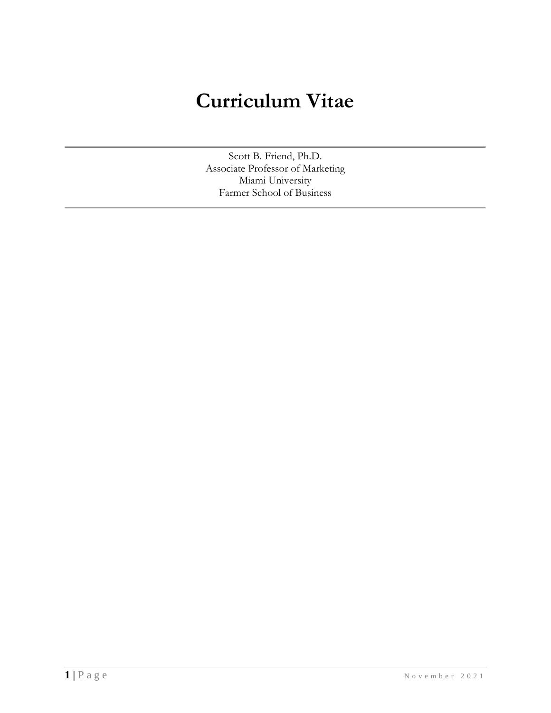# **Curriculum Vitae**

Scott B. Friend, Ph.D. Associate Professor of Marketing Miami University Farmer School of Business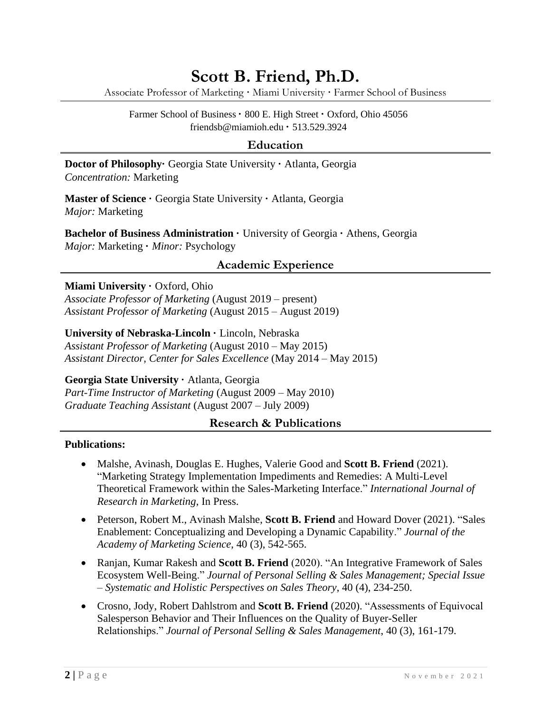# **Scott B. Friend, Ph.D.**

Associate Professor of Marketing **·** Miami University **·** Farmer School of Business

Farmer School of Business **·** 800 E. High Street **·** Oxford, Ohio 45056 friendsb@miamioh.edu **·** 513.529.3924

#### **Education**

**Doctor of Philosophy·** Georgia State University **·** Atlanta, Georgia *Concentration:* Marketing

**Master of Science · Georgia State University · Atlanta, Georgia** *Major:* Marketing

**Bachelor of Business Administration ·** University of Georgia **·** Athens, Georgia *Major:* Marketing **·** *Minor:* Psychology

# **Academic Experience**

#### **Miami University · Oxford, Ohio**

*Associate Professor of Marketing* (August 2019 – present) *Assistant Professor of Marketing* (August 2015 – August 2019)

**University of Nebraska-Lincoln ·** Lincoln, Nebraska *Assistant Professor of Marketing* (August 2010 – May 2015)

*Assistant Director, Center for Sales Excellence* (May 2014 – May 2015)

**Georgia State University ·** Atlanta, Georgia

*Part-Time Instructor of Marketing* (August 2009 – May 2010) *Graduate Teaching Assistant* (August 2007 – July 2009)

# **Research & Publications**

#### **Publications:**

- Malshe, Avinash, Douglas E. Hughes, Valerie Good and **Scott B. Friend** (2021). "Marketing Strategy Implementation Impediments and Remedies: A Multi-Level Theoretical Framework within the Sales-Marketing Interface." *International Journal of Research in Marketing*, In Press.
- Peterson, Robert M., Avinash Malshe, **Scott B. Friend** and Howard Dover (2021). "Sales Enablement: Conceptualizing and Developing a Dynamic Capability." *Journal of the Academy of Marketing Science*, 40 (3), 542-565.
- Ranjan, Kumar Rakesh and **Scott B. Friend** (2020). "An Integrative Framework of Sales Ecosystem Well-Being." *Journal of Personal Selling & Sales Management; Special Issue – Systematic and Holistic Perspectives on Sales Theory*, 40 (4), 234-250.
- Crosno, Jody, Robert Dahlstrom and **Scott B. Friend** (2020). "Assessments of Equivocal Salesperson Behavior and Their Influences on the Quality of Buyer-Seller Relationships." *Journal of Personal Selling & Sales Management*, 40 (3), 161-179.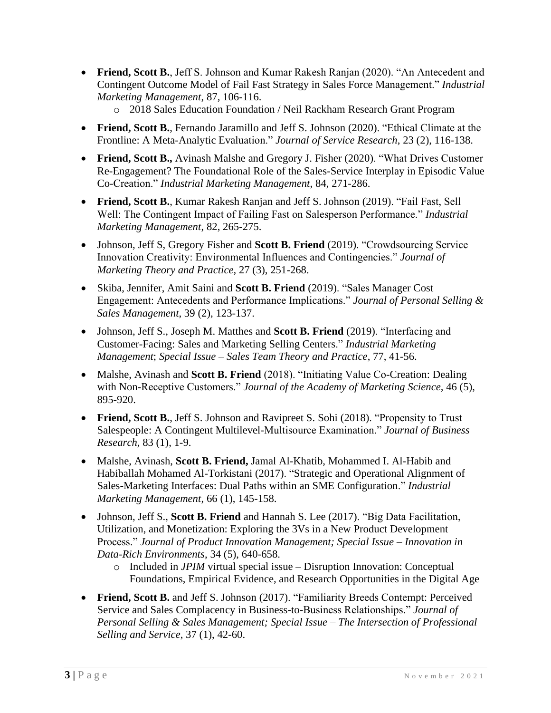- **Friend, Scott B.**, Jeff S. Johnson and Kumar Rakesh Ranjan (2020). "An Antecedent and Contingent Outcome Model of Fail Fast Strategy in Sales Force Management." *Industrial Marketing Management*, 87, 106-116.
	- o 2018 Sales Education Foundation / Neil Rackham Research Grant Program
- **Friend, Scott B.**, Fernando Jaramillo and Jeff S. Johnson (2020). "Ethical Climate at the Frontline: A Meta-Analytic Evaluation." *Journal of Service Research*, 23 (2), 116-138.
- **Friend, Scott B.,** Avinash Malshe and Gregory J. Fisher (2020). "What Drives Customer Re-Engagement? The Foundational Role of the Sales-Service Interplay in Episodic Value Co-Creation." *Industrial Marketing Management*, 84, 271-286.
- **Friend, Scott B.**, Kumar Rakesh Ranjan and Jeff S. Johnson (2019). "Fail Fast, Sell Well: The Contingent Impact of Failing Fast on Salesperson Performance." *Industrial Marketing Management*, 82, 265-275.
- Johnson, Jeff S, Gregory Fisher and **Scott B. Friend** (2019). "Crowdsourcing Service Innovation Creativity: Environmental Influences and Contingencies." *Journal of Marketing Theory and Practice,* 27 (3), 251-268.
- Skiba, Jennifer, Amit Saini and **Scott B. Friend** (2019). "Sales Manager Cost Engagement: Antecedents and Performance Implications." *Journal of Personal Selling & Sales Management*, 39 (2), 123-137.
- Johnson, Jeff S., Joseph M. Matthes and **Scott B. Friend** (2019). "Interfacing and Customer-Facing: Sales and Marketing Selling Centers." *Industrial Marketing Management*; *Special Issue – Sales Team Theory and Practice*, 77, 41-56.
- Malshe, Avinash and **Scott B. Friend** (2018). "Initiating Value Co-Creation: Dealing with Non-Receptive Customers." *Journal of the Academy of Marketing Science,* 46 (5), 895-920.
- **Friend, Scott B.**, Jeff S. Johnson and Ravipreet S. Sohi (2018). "Propensity to Trust Salespeople: A Contingent Multilevel-Multisource Examination." *Journal of Business Research*, 83 (1), 1-9.
- Malshe, Avinash, **Scott B. Friend,** Jamal Al-Khatib, Mohammed I. Al-Habib and Habiballah Mohamed Al-Torkistani (2017). "Strategic and Operational Alignment of Sales-Marketing Interfaces: Dual Paths within an SME Configuration." *Industrial Marketing Management*, 66 (1), 145-158.
- Johnson, Jeff S., **Scott B. Friend** and Hannah S. Lee (2017). "Big Data Facilitation, Utilization, and Monetization: Exploring the 3Vs in a New Product Development Process." *Journal of Product Innovation Management; Special Issue – Innovation in Data-Rich Environments*, 34 (5), 640-658.
	- o Included in *JPIM* virtual special issue Disruption Innovation: Conceptual Foundations, Empirical Evidence, and Research Opportunities in the Digital Age
- **Friend, Scott B.** and Jeff S. Johnson (2017). "Familiarity Breeds Contempt: Perceived Service and Sales Complacency in Business-to-Business Relationships." *Journal of Personal Selling & Sales Management; Special Issue – The Intersection of Professional Selling and Service*, 37 (1), 42-60.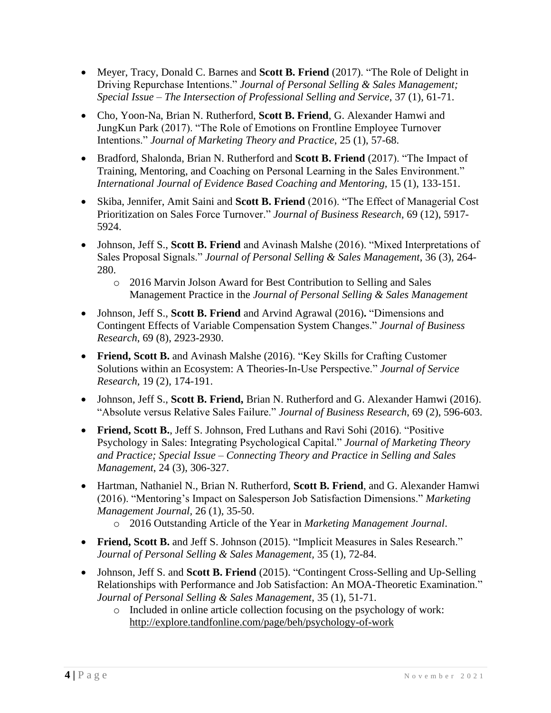- Meyer, Tracy, Donald C. Barnes and **Scott B. Friend** (2017). "The Role of Delight in Driving Repurchase Intentions." *Journal of Personal Selling & Sales Management; Special Issue – The Intersection of Professional Selling and Service*, 37 (1), 61-71.
- Cho, Yoon-Na, Brian N. Rutherford, **Scott B. Friend**, G. Alexander Hamwi and JungKun Park (2017). "The Role of Emotions on Frontline Employee Turnover Intentions." *Journal of Marketing Theory and Practice*, 25 (1), 57-68.
- Bradford, Shalonda, Brian N. Rutherford and **Scott B. Friend** (2017). "The Impact of Training, Mentoring, and Coaching on Personal Learning in the Sales Environment." *International Journal of Evidence Based Coaching and Mentoring,* 15 (1), 133-151.
- Skiba, Jennifer, Amit Saini and **Scott B. Friend** (2016). "The Effect of Managerial Cost Prioritization on Sales Force Turnover." *Journal of Business Research*, 69 (12), 5917- 5924.
- Johnson, Jeff S., **Scott B. Friend** and Avinash Malshe (2016). "Mixed Interpretations of Sales Proposal Signals." *Journal of Personal Selling & Sales Management*, 36 (3), 264- 280.
	- o 2016 Marvin Jolson Award for Best Contribution to Selling and Sales Management Practice in the *Journal of Personal Selling & Sales Management*
- Johnson, Jeff S., **Scott B. Friend** and Arvind Agrawal (2016)**.** "Dimensions and Contingent Effects of Variable Compensation System Changes." *Journal of Business Research*, 69 (8), 2923-2930.
- **Friend, Scott B.** and Avinash Malshe (2016). "Key Skills for Crafting Customer Solutions within an Ecosystem: A Theories-In-Use Perspective." *Journal of Service Research,* 19 (2), 174-191.
- Johnson, Jeff S., **Scott B. Friend,** Brian N. Rutherford and G. Alexander Hamwi (2016). "Absolute versus Relative Sales Failure." *Journal of Business Research*, 69 (2), 596-603.
- **Friend, Scott B.**, Jeff S. Johnson, Fred Luthans and Ravi Sohi (2016). "Positive Psychology in Sales: Integrating Psychological Capital." *Journal of Marketing Theory and Practice; Special Issue – Connecting Theory and Practice in Selling and Sales Management*, 24 (3), 306-327.
- Hartman, Nathaniel N., Brian N. Rutherford, **Scott B. Friend**, and G. Alexander Hamwi (2016). "Mentoring's Impact on Salesperson Job Satisfaction Dimensions." *Marketing Management Journal,* 26 (1), 35-50.
	- o 2016 Outstanding Article of the Year in *Marketing Management Journal*.
- **Friend, Scott B.** and Jeff S. Johnson (2015). "Implicit Measures in Sales Research." *Journal of Personal Selling & Sales Management,* 35 (1), 72-84.
- Johnson, Jeff S. and **Scott B. Friend** (2015). "Contingent Cross-Selling and Up-Selling Relationships with Performance and Job Satisfaction: An MOA-Theoretic Examination." *Journal of Personal Selling & Sales Management*, 35 (1), 51-71.
	- o Included in online article collection focusing on the psychology of work: <http://explore.tandfonline.com/page/beh/psychology-of-work>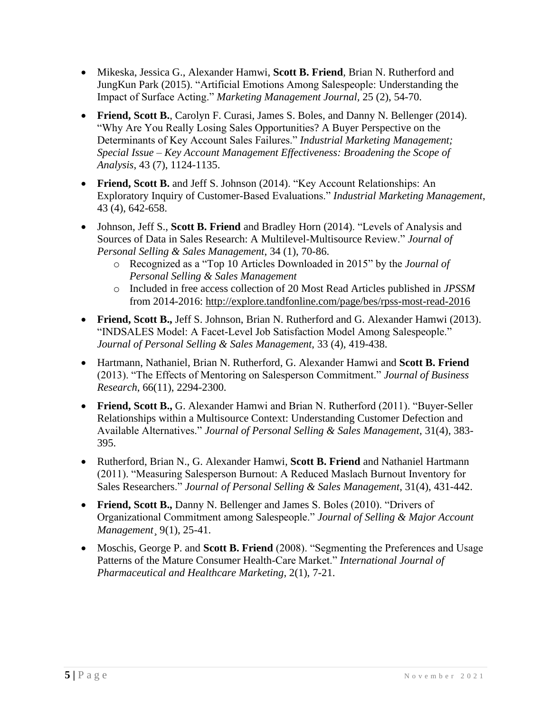- Mikeska, Jessica G., Alexander Hamwi, **Scott B. Friend**, Brian N. Rutherford and JungKun Park (2015). "Artificial Emotions Among Salespeople: Understanding the Impact of Surface Acting." *Marketing Management Journal,* 25 (2), 54-70.
- **Friend, Scott B.**, Carolyn F. Curasi, James S. Boles, and Danny N. Bellenger (2014). "Why Are You Really Losing Sales Opportunities? A Buyer Perspective on the Determinants of Key Account Sales Failures." *Industrial Marketing Management; Special Issue – Key Account Management Effectiveness: Broadening the Scope of Analysis*, 43 (7), 1124-1135.
- **Friend, Scott B.** and Jeff S. Johnson (2014). "Key Account Relationships: An Exploratory Inquiry of Customer-Based Evaluations." *Industrial Marketing Management*, 43 (4), 642-658.
- Johnson, Jeff S., **Scott B. Friend** and Bradley Horn (2014). "Levels of Analysis and Sources of Data in Sales Research: A Multilevel-Multisource Review." *Journal of Personal Selling & Sales Management*, 34 (1), 70-86.
	- o Recognized as a "Top 10 Articles Downloaded in 2015" by the *Journal of Personal Selling & Sales Management*
	- o Included in free access collection of 20 Most Read Articles published in *JPSSM*  from 2014-2016:<http://explore.tandfonline.com/page/bes/rpss-most-read-2016>
- **Friend, Scott B.,** Jeff S. Johnson, Brian N. Rutherford and G. Alexander Hamwi (2013). "INDSALES Model: A Facet-Level Job Satisfaction Model Among Salespeople." *Journal of Personal Selling & Sales Management*, 33 (4), 419-438.
- Hartmann, Nathaniel, Brian N. Rutherford, G. Alexander Hamwi and **Scott B. Friend** (2013). "The Effects of Mentoring on Salesperson Commitment." *Journal of Business Research*, 66(11), 2294-2300.
- **Friend, Scott B.,** G. Alexander Hamwi and Brian N. Rutherford (2011). "Buyer-Seller Relationships within a Multisource Context: Understanding Customer Defection and Available Alternatives." *Journal of Personal Selling & Sales Management*, 31(4), 383- 395.
- Rutherford, Brian N., G. Alexander Hamwi, **Scott B. Friend** and Nathaniel Hartmann (2011). "Measuring Salesperson Burnout: A Reduced Maslach Burnout Inventory for Sales Researchers." *Journal of Personal Selling & Sales Management*, 31(4), 431-442.
- **Friend, Scott B.,** Danny N. Bellenger and James S. Boles (2010). "Drivers of Organizational Commitment among Salespeople." *Journal of Selling & Major Account Management*¸ 9(1), 25-41.
- Moschis, George P. and **Scott B. Friend** (2008). "Segmenting the Preferences and Usage Patterns of the Mature Consumer Health-Care Market." *International Journal of Pharmaceutical and Healthcare Marketing*, 2(1), 7-21.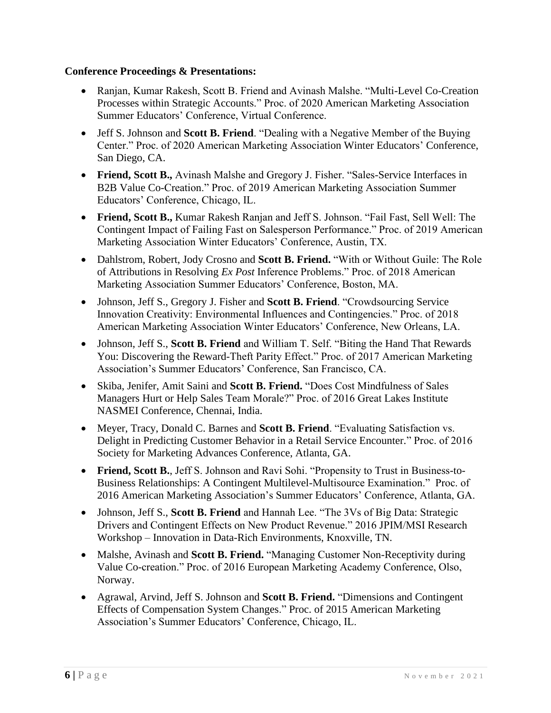# **Conference Proceedings & Presentations:**

- Ranjan, Kumar Rakesh, Scott B. Friend and Avinash Malshe. "Multi-Level Co-Creation Processes within Strategic Accounts." Proc. of 2020 American Marketing Association Summer Educators' Conference, Virtual Conference.
- Jeff S. Johnson and **Scott B. Friend**. "Dealing with a Negative Member of the Buying Center." Proc. of 2020 American Marketing Association Winter Educators' Conference, San Diego, CA.
- **Friend, Scott B.,** Avinash Malshe and Gregory J. Fisher. "Sales-Service Interfaces in B2B Value Co-Creation." Proc. of 2019 American Marketing Association Summer Educators' Conference, Chicago, IL.
- **Friend, Scott B.,** Kumar Rakesh Ranjan and Jeff S. Johnson. "Fail Fast, Sell Well: The Contingent Impact of Failing Fast on Salesperson Performance." Proc. of 2019 American Marketing Association Winter Educators' Conference, Austin, TX.
- Dahlstrom, Robert, Jody Crosno and **Scott B. Friend.** "With or Without Guile: The Role of Attributions in Resolving *Ex Post* Inference Problems." Proc. of 2018 American Marketing Association Summer Educators' Conference, Boston, MA.
- Johnson, Jeff S., Gregory J. Fisher and **Scott B. Friend**. "Crowdsourcing Service Innovation Creativity: Environmental Influences and Contingencies." Proc. of 2018 American Marketing Association Winter Educators' Conference, New Orleans, LA.
- Johnson, Jeff S., **Scott B. Friend** and William T. Self. "Biting the Hand That Rewards You: Discovering the Reward-Theft Parity Effect." Proc. of 2017 American Marketing Association's Summer Educators' Conference, San Francisco, CA.
- Skiba, Jenifer, Amit Saini and **Scott B. Friend.** "Does Cost Mindfulness of Sales Managers Hurt or Help Sales Team Morale?" Proc. of 2016 Great Lakes Institute NASMEI Conference, Chennai, India.
- Meyer, Tracy, Donald C. Barnes and **Scott B. Friend**. "Evaluating Satisfaction vs. Delight in Predicting Customer Behavior in a Retail Service Encounter." Proc. of 2016 Society for Marketing Advances Conference, Atlanta, GA.
- **Friend, Scott B.**, Jeff S. Johnson and Ravi Sohi. "Propensity to Trust in Business-to-Business Relationships: A Contingent Multilevel-Multisource Examination." Proc. of 2016 American Marketing Association's Summer Educators' Conference, Atlanta, GA.
- Johnson, Jeff S., **Scott B. Friend** and Hannah Lee. "The 3Vs of Big Data: Strategic Drivers and Contingent Effects on New Product Revenue." 2016 JPIM/MSI Research Workshop – Innovation in Data-Rich Environments, Knoxville, TN.
- Malshe, Avinash and **Scott B. Friend.** "Managing Customer Non-Receptivity during Value Co-creation." Proc. of 2016 European Marketing Academy Conference, Olso, Norway.
- Agrawal, Arvind, Jeff S. Johnson and **Scott B. Friend.** "Dimensions and Contingent Effects of Compensation System Changes." Proc. of 2015 American Marketing Association's Summer Educators' Conference, Chicago, IL.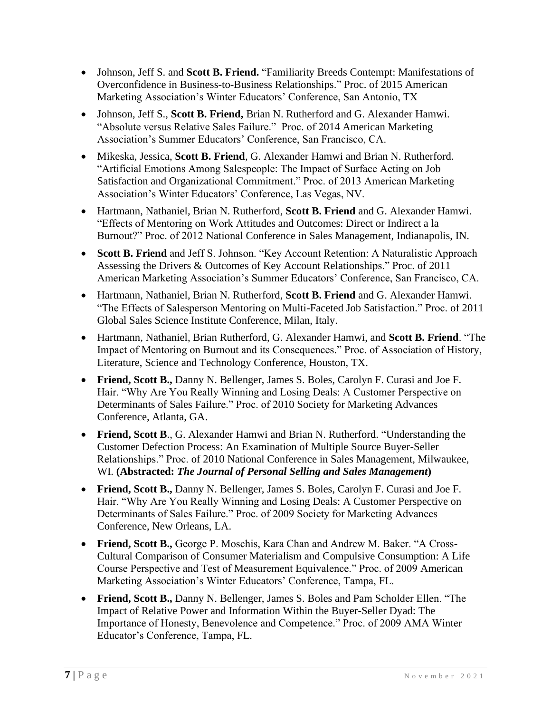- Johnson, Jeff S. and **Scott B. Friend.** "Familiarity Breeds Contempt: Manifestations of Overconfidence in Business-to-Business Relationships." Proc. of 2015 American Marketing Association's Winter Educators' Conference, San Antonio, TX
- Johnson, Jeff S., **Scott B. Friend,** Brian N. Rutherford and G. Alexander Hamwi. "Absolute versus Relative Sales Failure." Proc. of 2014 American Marketing Association's Summer Educators' Conference, San Francisco, CA.
- Mikeska, Jessica, **Scott B. Friend**, G. Alexander Hamwi and Brian N. Rutherford. "Artificial Emotions Among Salespeople: The Impact of Surface Acting on Job Satisfaction and Organizational Commitment." Proc. of 2013 American Marketing Association's Winter Educators' Conference, Las Vegas, NV.
- Hartmann, Nathaniel, Brian N. Rutherford, **Scott B. Friend** and G. Alexander Hamwi. "Effects of Mentoring on Work Attitudes and Outcomes: Direct or Indirect a la Burnout?" Proc. of 2012 National Conference in Sales Management, Indianapolis, IN.
- **Scott B. Friend** and Jeff S. Johnson. "Key Account Retention: A Naturalistic Approach Assessing the Drivers & Outcomes of Key Account Relationships." Proc. of 2011 American Marketing Association's Summer Educators' Conference, San Francisco, CA.
- Hartmann, Nathaniel, Brian N. Rutherford, **Scott B. Friend** and G. Alexander Hamwi. "The Effects of Salesperson Mentoring on Multi-Faceted Job Satisfaction." Proc. of 2011 Global Sales Science Institute Conference, Milan, Italy.
- Hartmann, Nathaniel, Brian Rutherford, G. Alexander Hamwi, and **Scott B. Friend**. "The Impact of Mentoring on Burnout and its Consequences." Proc. of Association of History, Literature, Science and Technology Conference, Houston, TX.
- **Friend, Scott B.,** Danny N. Bellenger, James S. Boles, Carolyn F. Curasi and Joe F. Hair. "Why Are You Really Winning and Losing Deals: A Customer Perspective on Determinants of Sales Failure." Proc. of 2010 Society for Marketing Advances Conference, Atlanta, GA.
- **Friend, Scott B**., G. Alexander Hamwi and Brian N. Rutherford. "Understanding the Customer Defection Process: An Examination of Multiple Source Buyer-Seller Relationships." Proc. of 2010 National Conference in Sales Management, Milwaukee, WI. **(Abstracted:** *The Journal of Personal Selling and Sales Management***)**
- **Friend, Scott B.,** Danny N. Bellenger, James S. Boles, Carolyn F. Curasi and Joe F. Hair. "Why Are You Really Winning and Losing Deals: A Customer Perspective on Determinants of Sales Failure." Proc. of 2009 Society for Marketing Advances Conference, New Orleans, LA.
- **Friend, Scott B.,** George P. Moschis, Kara Chan and Andrew M. Baker. "A Cross-Cultural Comparison of Consumer Materialism and Compulsive Consumption: A Life Course Perspective and Test of Measurement Equivalence." Proc. of 2009 American Marketing Association's Winter Educators' Conference, Tampa, FL.
- **Friend, Scott B.,** Danny N. Bellenger, James S. Boles and Pam Scholder Ellen. "The Impact of Relative Power and Information Within the Buyer-Seller Dyad: The Importance of Honesty, Benevolence and Competence." Proc. of 2009 AMA Winter Educator's Conference, Tampa, FL.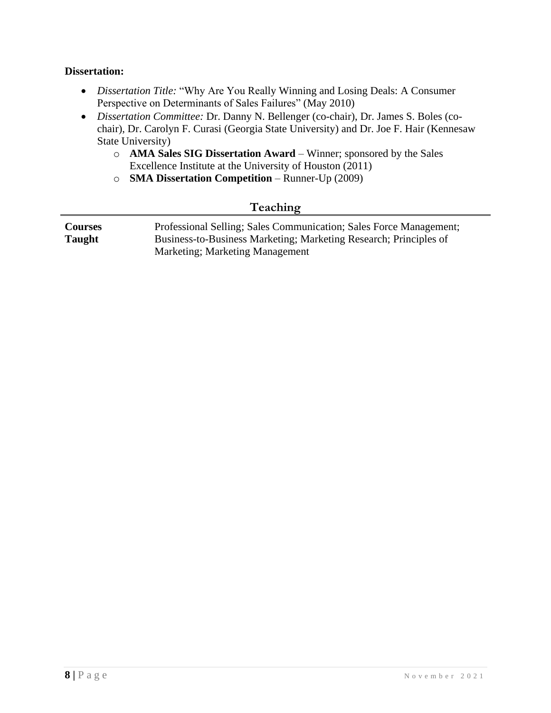#### **Dissertation:**

- *Dissertation Title:* "Why Are You Really Winning and Losing Deals: A Consumer Perspective on Determinants of Sales Failures" (May 2010)
- *Dissertation Committee:* Dr. Danny N. Bellenger (co-chair), Dr. James S. Boles (cochair), Dr. Carolyn F. Curasi (Georgia State University) and Dr. Joe F. Hair (Kennesaw State University)
	- o **AMA Sales SIG Dissertation Award**  Winner; sponsored by the Sales Excellence Institute at the University of Houston (2011)
	- o **SMA Dissertation Competition**  Runner-Up (2009)

# **Teaching**

| <b>Courses</b> | Professional Selling; Sales Communication; Sales Force Management; |
|----------------|--------------------------------------------------------------------|
| <b>Taught</b>  | Business-to-Business Marketing; Marketing Research; Principles of  |
|                | <b>Marketing</b> ; Marketing Management                            |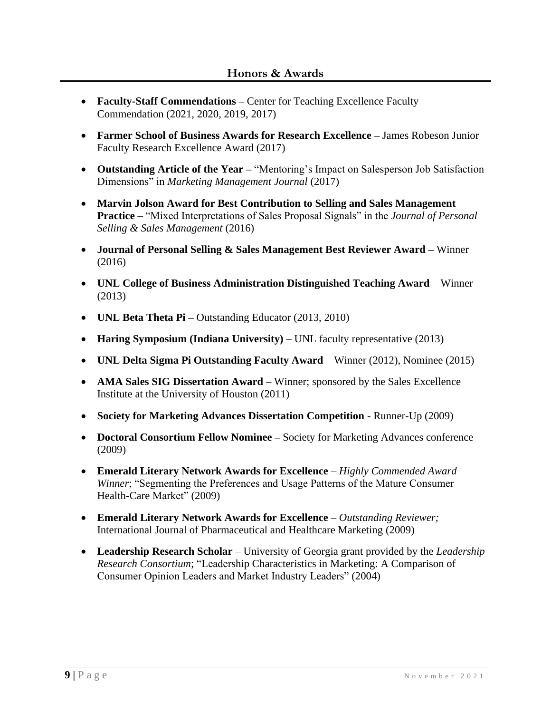- **Faculty-Staff Commendations** Center for Teaching Excellence Faculty Commendation (2021, 2020, 2019, 2017)
- **Farmer School of Business Awards for Research Excellence –** James Robeson Junior Faculty Research Excellence Award (2017)
- **Outstanding Article of the Year –** "Mentoring's Impact on Salesperson Job Satisfaction Dimensions" in *Marketing Management Journal* (2017)
- **Marvin Jolson Award for Best Contribution to Selling and Sales Management Practice** – "Mixed Interpretations of Sales Proposal Signals" in the *Journal of Personal Selling & Sales Management* (2016)
- **Journal of Personal Selling & Sales Management Best Reviewer Award –** Winner (2016)
- **UNL College of Business Administration Distinguished Teaching Award**  Winner (2013)
- **UNL Beta Theta Pi –** Outstanding Educator (2013, 2010)
- **Haring Symposium (Indiana University)** UNL faculty representative (2013)
- **UNL Delta Sigma Pi Outstanding Faculty Award** Winner (2012), Nominee (2015)
- **AMA Sales SIG Dissertation Award** Winner; sponsored by the Sales Excellence Institute at the University of Houston (2011)
- **Society for Marketing Advances Dissertation Competition** Runner-Up (2009)
- **Doctoral Consortium Fellow Nominee –** Society for Marketing Advances conference (2009)
- **Emerald Literary Network Awards for Excellence** *Highly Commended Award Winner*; "Segmenting the Preferences and Usage Patterns of the Mature Consumer Health-Care Market" (2009)
- **Emerald Literary Network Awards for Excellence** *Outstanding Reviewer;*  International Journal of Pharmaceutical and Healthcare Marketing (2009)
- **Leadership Research Scholar** University of Georgia grant provided by the *Leadership Research Consortium*; "Leadership Characteristics in Marketing: A Comparison of Consumer Opinion Leaders and Market Industry Leaders" (2004)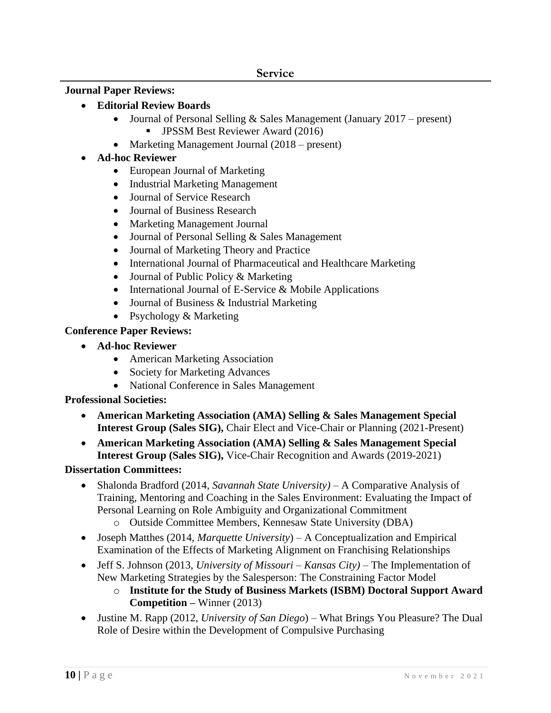# **Journal Paper Reviews:**

- **Editorial Review Boards**
	- Journal of Personal Selling & Sales Management (January 2017 present) **JPSSM Best Reviewer Award (2016)**
	- Marketing Management Journal (2018 present)
- **Ad-hoc Reviewer**
	- European Journal of Marketing
	- Industrial Marketing Management
	- Journal of Service Research
	- Journal of Business Research
	- Marketing Management Journal
	- Journal of Personal Selling & Sales Management
	- Journal of Marketing Theory and Practice
	- International Journal of Pharmaceutical and Healthcare Marketing
	- Journal of Public Policy & Marketing
	- International Journal of E-Service & Mobile Applications
	- Journal of Business & Industrial Marketing
	- Psychology & Marketing

# **Conference Paper Reviews:**

- **Ad-hoc Reviewer**
	- American Marketing Association
	- Society for Marketing Advances
	- National Conference in Sales Management

# **Professional Societies:**

- **American Marketing Association (AMA) Selling & Sales Management Special Interest Group (Sales SIG),** Chair Elect and Vice-Chair or Planning (2021-Present)
- **American Marketing Association (AMA) Selling & Sales Management Special Interest Group (Sales SIG),** Vice-Chair Recognition and Awards (2019-2021)

# **Dissertation Committees:**

- Shalonda Bradford (2014, *Savannah State University)*  A Comparative Analysis of Training, Mentoring and Coaching in the Sales Environment: Evaluating the Impact of Personal Learning on Role Ambiguity and Organizational Commitment
	- o Outside Committee Members, Kennesaw State University (DBA)
- Joseph Matthes (2014, *Marquette University*) A Conceptualization and Empirical Examination of the Effects of Marketing Alignment on Franchising Relationships
- Jeff S. Johnson (2013, *University of Missouri – Kansas City)* The Implementation of New Marketing Strategies by the Salesperson: The Constraining Factor Model
	- o **Institute for the Study of Business Markets (ISBM) Doctoral Support Award Competition –** Winner (2013)
- Justine M. Rapp (2012, *University of San Diego*) What Brings You Pleasure? The Dual Role of Desire within the Development of Compulsive Purchasing